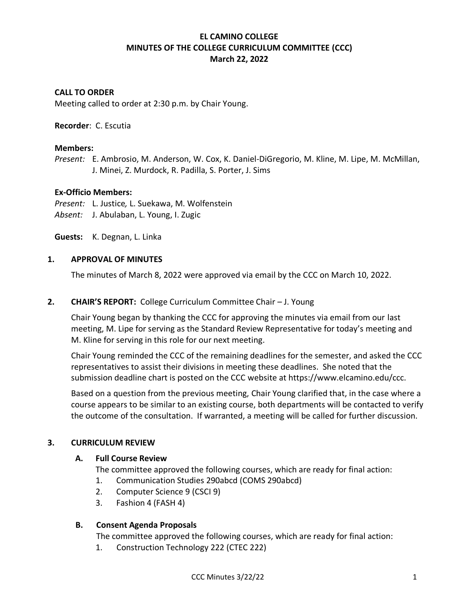# **EL CAMINO COLLEGE MINUTES OF THE COLLEGE CURRICULUM COMMITTEE (CCC) March 22, 2022**

### **CALL TO ORDER**

Meeting called to order at 2:30 p.m. by Chair Young.

#### **Recorder**: C. Escutia

#### **Members:**

*Present:* E. Ambrosio, M. Anderson, W. Cox, K. Daniel-DiGregorio, M. Kline, M. Lipe, M. McMillan, J. Minei, Z. Murdock, R. Padilla, S. Porter, J. Sims

#### **Ex-Officio Members:**

*Present:* L. Justice*,* L. Suekawa, M. Wolfenstein *Absent:* J. Abulaban, L. Young, I. Zugic

**Guests:** K. Degnan, L. Linka

#### **1. APPROVAL OF MINUTES**

The minutes of March 8, 2022 were approved via email by the CCC on March 10, 2022.

#### **2. CHAIR'S REPORT:** College Curriculum Committee Chair – J. Young

Chair Young began by thanking the CCC for approving the minutes via email from our last meeting, M. Lipe for serving as the Standard Review Representative for today's meeting and M. Kline for serving in this role for our next meeting.

Chair Young reminded the CCC of the remaining deadlines for the semester, and asked the CCC representatives to assist their divisions in meeting these deadlines. She noted that the submission deadline chart is posted on the CCC website at https://www.elcamino.edu/ccc.

Based on a question from the previous meeting, Chair Young clarified that, in the case where a course appears to be similar to an existing course, both departments will be contacted to verify the outcome of the consultation. If warranted, a meeting will be called for further discussion.

#### **3. CURRICULUM REVIEW**

#### **A. Full Course Review**

The committee approved the following courses, which are ready for final action:

- 1. Communication Studies 290abcd (COMS 290abcd)
- 2. Computer Science 9 (CSCI 9)
- 3. Fashion 4 (FASH 4)

#### **B. Consent Agenda Proposals**

The committee approved the following courses, which are ready for final action:

1. Construction Technology 222 (CTEC 222)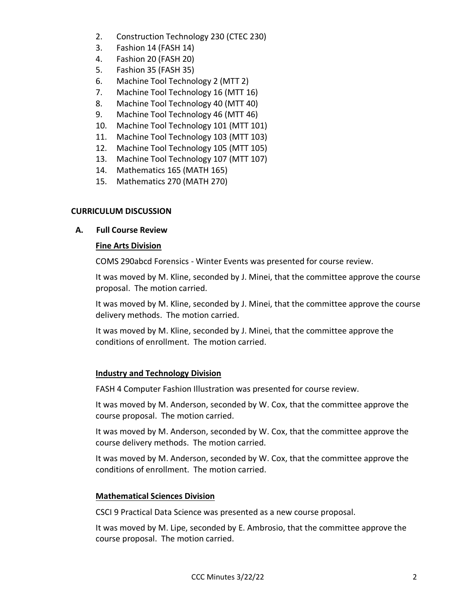- 2. Construction Technology 230 (CTEC 230)
- 3. Fashion 14 (FASH 14)
- 4. Fashion 20 (FASH 20)
- 5. Fashion 35 (FASH 35)
- 6. Machine Tool Technology 2 (MTT 2)
- 7. Machine Tool Technology 16 (MTT 16)
- 8. Machine Tool Technology 40 (MTT 40)
- 9. Machine Tool Technology 46 (MTT 46)
- 10. Machine Tool Technology 101 (MTT 101)
- 11. Machine Tool Technology 103 (MTT 103)
- 12. Machine Tool Technology 105 (MTT 105)
- 13. Machine Tool Technology 107 (MTT 107)
- 14. Mathematics 165 (MATH 165)
- 15. Mathematics 270 (MATH 270)

# **CURRICULUM DISCUSSION**

# **A. Full Course Review**

# **Fine Arts Division**

COMS 290abcd Forensics - Winter Events was presented for course review.

It was moved by M. Kline, seconded by J. Minei, that the committee approve the course proposal. The motion carried.

It was moved by M. Kline, seconded by J. Minei, that the committee approve the course delivery methods. The motion carried.

It was moved by M. Kline, seconded by J. Minei, that the committee approve the conditions of enrollment. The motion carried.

# **Industry and Technology Division**

FASH 4 Computer Fashion Illustration was presented for course review.

It was moved by M. Anderson, seconded by W. Cox, that the committee approve the course proposal. The motion carried.

It was moved by M. Anderson, seconded by W. Cox, that the committee approve the course delivery methods. The motion carried.

It was moved by M. Anderson, seconded by W. Cox, that the committee approve the conditions of enrollment. The motion carried.

# **Mathematical Sciences Division**

CSCI 9 Practical Data Science was presented as a new course proposal.

It was moved by M. Lipe, seconded by E. Ambrosio, that the committee approve the course proposal. The motion carried.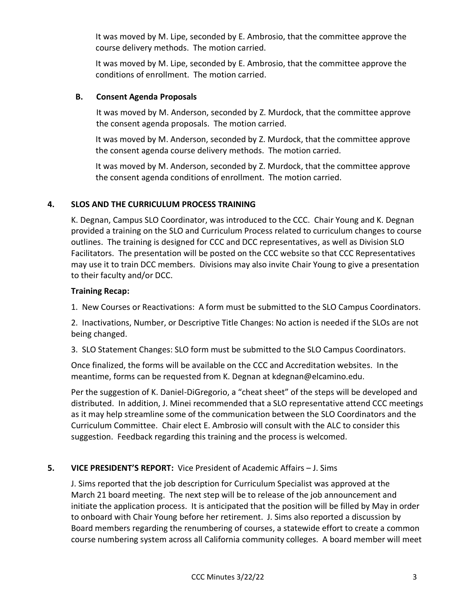It was moved by M. Lipe, seconded by E. Ambrosio, that the committee approve the course delivery methods. The motion carried.

It was moved by M. Lipe, seconded by E. Ambrosio, that the committee approve the conditions of enrollment. The motion carried.

## **B. Consent Agenda Proposals**

It was moved by M. Anderson, seconded by Z. Murdock, that the committee approve the consent agenda proposals. The motion carried.

It was moved by M. Anderson, seconded by Z. Murdock, that the committee approve the consent agenda course delivery methods. The motion carried.

It was moved by M. Anderson, seconded by Z. Murdock, that the committee approve the consent agenda conditions of enrollment. The motion carried.

## **4. SLOS AND THE CURRICULUM PROCESS TRAINING**

K. Degnan, Campus SLO Coordinator, was introduced to the CCC. Chair Young and K. Degnan provided a training on the SLO and Curriculum Process related to curriculum changes to course outlines. The training is designed for CCC and DCC representatives, as well as Division SLO Facilitators. The presentation will be posted on the CCC website so that CCC Representatives may use it to train DCC members. Divisions may also invite Chair Young to give a presentation to their faculty and/or DCC.

## **Training Recap:**

1. New Courses or Reactivations: A form must be submitted to the SLO Campus Coordinators.

2. Inactivations, Number, or Descriptive Title Changes: No action is needed if the SLOs are not being changed.

3. SLO Statement Changes: SLO form must be submitted to the SLO Campus Coordinators.

Once finalized, the forms will be available on the CCC and Accreditation websites. In the meantime, forms can be requested from K. Degnan at kdegnan@elcamino.edu.

Per the suggestion of K. Daniel-DiGregorio, a "cheat sheet" of the steps will be developed and distributed. In addition, J. Minei recommended that a SLO representative attend CCC meetings as it may help streamline some of the communication between the SLO Coordinators and the Curriculum Committee. Chair elect E. Ambrosio will consult with the ALC to consider this suggestion. Feedback regarding this training and the process is welcomed.

# **5. VICE PRESIDENT'S REPORT:** Vice President of Academic Affairs – J. Sims

J. Sims reported that the job description for Curriculum Specialist was approved at the March 21 board meeting. The next step will be to release of the job announcement and initiate the application process. It is anticipated that the position will be filled by May in order to onboard with Chair Young before her retirement. J. Sims also reported a discussion by Board members regarding the renumbering of courses, a statewide effort to create a common course numbering system across all California community colleges. A board member will meet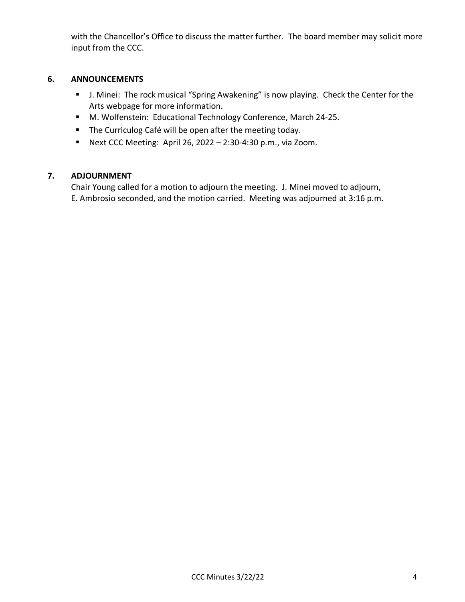with the Chancellor's Office to discuss the matter further. The board member may solicit more input from the CCC.

## **6. ANNOUNCEMENTS**

- J. Minei: The rock musical "Spring Awakening" is now playing. Check the Center for the Arts webpage for more information.
- M. Wolfenstein: Educational Technology Conference, March 24-25.
- The Curriculog Café will be open after the meeting today.
- **•** Next CCC Meeting: April 26, 2022 2:30-4:30 p.m., via Zoom.

# **7. ADJOURNMENT**

Chair Young called for a motion to adjourn the meeting. J. Minei moved to adjourn, E. Ambrosio seconded, and the motion carried. Meeting was adjourned at 3:16 p.m.